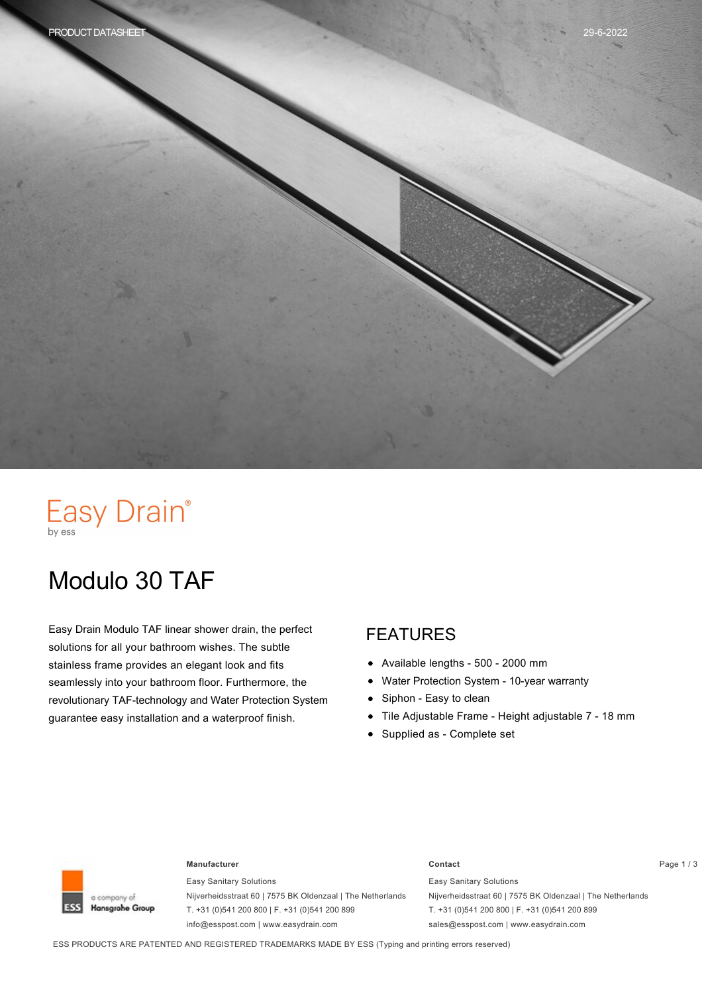# Easy Drain®

# Modulo 30 TAF

Easy Drain Modulo TAF linear shower drain, the perfect solutions for all your bathroom wishes. The subtle stainless frame provides an elegant look and fits seamlessly into your bathroom floor. Furthermore, the revolutionary TAF-technology and Water Protection System guarantee easy installation and a waterproof finish.

#### FEATURES

- $\bullet$ Available lengths - 500 - 2000 mm
- Water Protection System 10-year warranty  $\bullet$
- Siphon Easy to clean  $\bullet$
- Tile Adjustable Frame Height adjustable 7 18 mm  $\bullet$
- Supplied as Complete set



#### **Manufacturer Contact** Page 1 / 3

Easy Sanitary Solutions Nijverheidsstraat 60 | 7575 BK Oldenzaal | The Netherlands T. +31 (0)541 200 800 | F. +31 (0)541 200 899 info@esspost.com | www.easydrain.com

Easy Sanitary Solutions Nijverheidsstraat 60 | 7575 BK Oldenzaal | The Netherlands T. +31 (0)541 200 800 | F. +31 (0)541 200 899 sales@esspost.com | www.easydrain.com

ESS PRODUCTS ARE PATENTED AND REGISTERED TRADEMARKS MADE BY ESS (Typing and printing errors reserved)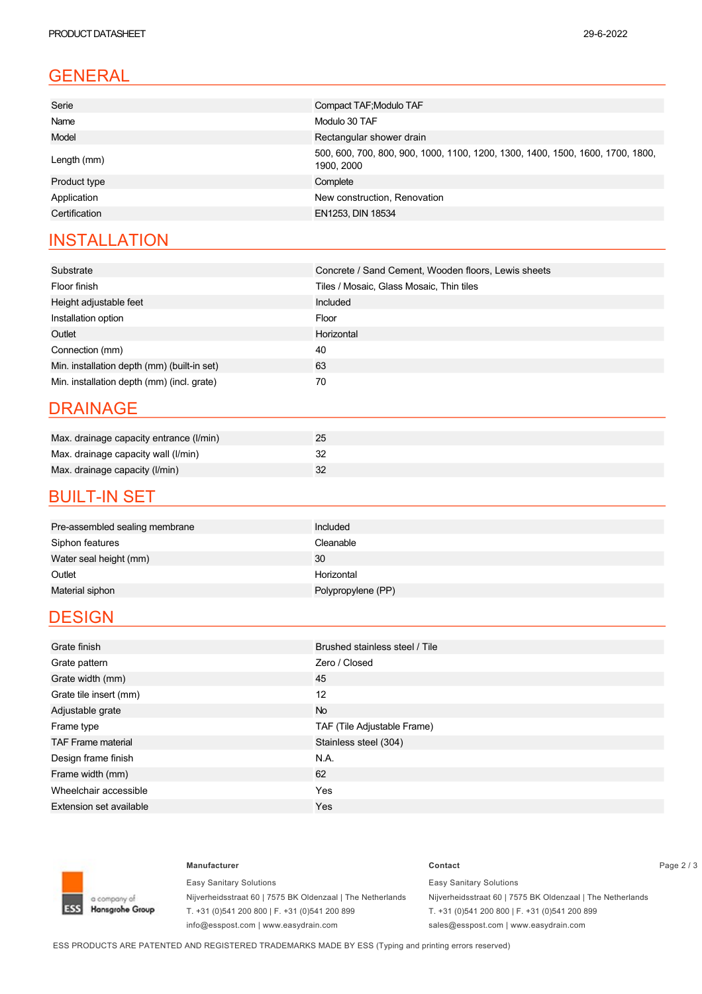| Serie         | Compact TAF; Modulo TAF                                                                      |  |  |
|---------------|----------------------------------------------------------------------------------------------|--|--|
| Name          | Modulo 30 TAF                                                                                |  |  |
| Model         | Rectangular shower drain                                                                     |  |  |
| Length (mm)   | 500, 600, 700, 800, 900, 1000, 1100, 1200, 1300, 1400, 1500, 1600, 1700, 1800,<br>1900, 2000 |  |  |
| Product type  | Complete                                                                                     |  |  |
| Application   | New construction, Renovation                                                                 |  |  |
| Certification | EN1253, DIN 18534                                                                            |  |  |
|               |                                                                                              |  |  |

# **INSTALLATION**

| Substrate                                   | Concrete / Sand Cement, Wooden floors, Lewis sheets |  |  |
|---------------------------------------------|-----------------------------------------------------|--|--|
| Floor finish                                | Tiles / Mosaic, Glass Mosaic, Thin tiles            |  |  |
| Height adjustable feet                      | Included                                            |  |  |
| Installation option                         | Floor                                               |  |  |
| Outlet                                      | Horizontal                                          |  |  |
| Connection (mm)                             | 40                                                  |  |  |
| Min. installation depth (mm) (built-in set) | 63                                                  |  |  |
| Min. installation depth (mm) (incl. grate)  | 70                                                  |  |  |

#### DRAINAGE

| Max. drainage capacity entrance (I/min) |  |
|-----------------------------------------|--|
| Max. drainage capacity wall (I/min)     |  |
| Max. drainage capacity (I/min)          |  |

#### **BUILT-IN SET**

| Pre-assembled sealing membrane | Included           |
|--------------------------------|--------------------|
| Siphon features                | Cleanable          |
| Water seal height (mm)         | 30                 |
| Outlet                         | Horizontal         |
| Material siphon                | Polypropylene (PP) |

#### **DESIGN**

| Grate finish                   | Brushed stainless steel / Tile |  |  |
|--------------------------------|--------------------------------|--|--|
| Grate pattern                  | Zero / Closed                  |  |  |
| Grate width (mm)               | 45                             |  |  |
| Grate tile insert (mm)         | 12                             |  |  |
| Adjustable grate               | <b>No</b>                      |  |  |
| Frame type                     | TAF (Tile Adjustable Frame)    |  |  |
| <b>TAF Frame material</b>      | Stainless steel (304)          |  |  |
| Design frame finish            | N.A.                           |  |  |
| Frame width (mm)               | 62                             |  |  |
| Wheelchair accessible          | Yes                            |  |  |
| <b>Extension set available</b> | <b>Yes</b>                     |  |  |



Easy Sanitary Solutions Nijverheidsstraat 60 | 7575 BK Oldenzaal | The Netherlands T. +31 (0)541 200 800 | F. +31 (0)541 200 899 info@esspost.com | www.easydrain.com

#### **Manufacturer Contact** Page 2 / 3 Easy Sanitary Solutions Nijverheidsstraat 60 | 7575 BK Oldenzaal | The Netherlands T. +31 (0)541 200 800 | F. +31 (0)541 200 899

sales@esspost.com | www.easydrain.com

ESS PRODUCTS ARE PATENTED AND REGISTERED TRADEMARKS MADE BY ESS (Typing and printing errors reserved)